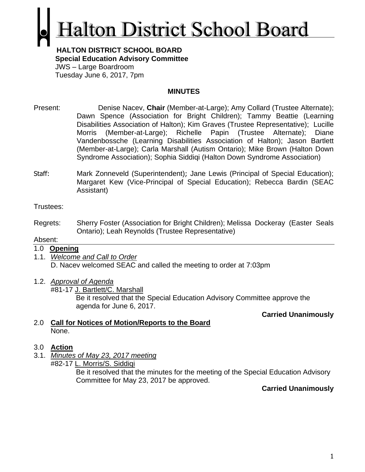# **Ialton District School Board**

#### **HALTON DISTRICT SCHOOL BOARD Special Education Advisory Committee** JWS – Large Boardroom Tuesday June 6, 2017, 7pm

#### **MINUTES**

- Present: Denise Nacev, **Chair** (Member-at-Large); Amy Collard (Trustee Alternate); Dawn Spence (Association for Bright Children); Tammy Beattie (Learning Disabilities Association of Halton); Kim Graves (Trustee Representative); Lucille Morris (Member-at-Large); Richelle Papin (Trustee Alternate); Diane Vandenbossche (Learning Disabilities Association of Halton); Jason Bartlett (Member-at-Large); Carla Marshall (Autism Ontario); Mike Brown (Halton Down Syndrome Association); Sophia Siddiqi (Halton Down Syndrome Association)
- Staff: Mark Zonneveld (Superintendent); Jane Lewis (Principal of Special Education); Margaret Kew (Vice-Principal of Special Education); Rebecca Bardin (SEAC Assistant)

Trustees:

Regrets: Sherry Foster (Association for Bright Children); Melissa Dockeray (Easter Seals Ontario); Leah Reynolds (Trustee Representative)

#### Absent:

#### 1.0 **Opening**

- 1.1. *Welcome and Call to Order* D. Nacev welcomed SEAC and called the meeting to order at 7:03pm
- 1.2. *Approval of Agenda*

#81-17 J. Bartlett/C. Marshall Be it resolved that the Special Education Advisory Committee approve the agenda for June 6, 2017.

**Carried Unanimously**

#### 2.0 **Call for Notices of Motion/Reports to the Board** None.

#### 3.0 **Action**

3.1. *Minutes of May 23, 2017 meeting* #82-17 L. Morris/S. Siddiqi

Be it resolved that the minutes for the meeting of the Special Education Advisory Committee for May 23, 2017 be approved.

**Carried Unanimously**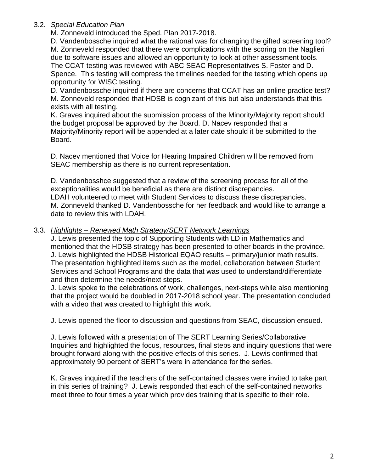#### 3.2. *Special Education Plan*

M. Zonneveld introduced the Sped. Plan 2017-2018.

D. Vandenbossche inquired what the rational was for changing the gifted screening tool? M. Zonneveld responded that there were complications with the scoring on the Naglieri due to software issues and allowed an opportunity to look at other assessment tools. The CCAT testing was reviewed with ABC SEAC Representatives S. Foster and D. Spence. This testing will compress the timelines needed for the testing which opens up opportunity for WISC testing.

D. Vandenbossche inquired if there are concerns that CCAT has an online practice test? M. Zonneveld responded that HDSB is cognizant of this but also understands that this exists with all testing.

K. Graves inquired about the submission process of the Minority/Majority report should the budget proposal be approved by the Board. D. Nacev responded that a Majority/Minority report will be appended at a later date should it be submitted to the Board.

D. Nacev mentioned that Voice for Hearing Impaired Children will be removed from SEAC membership as there is no current representation.

D. Vandenbosshce suggested that a review of the screening process for all of the exceptionalities would be beneficial as there are distinct discrepancies. LDAH volunteered to meet with Student Services to discuss these discrepancies. M. Zonneveld thanked D. Vandenbossche for her feedback and would like to arrange a date to review this with LDAH.

#### 3.3. *Highlights – Renewed Math Strategy/SERT Network Learnings*

J. Lewis presented the topic of Supporting Students with LD in Mathematics and mentioned that the HDSB strategy has been presented to other boards in the province. J. Lewis highlighted the HDSB Historical EQAO results – primary/junior math results. The presentation highlighted items such as the model, collaboration between Student Services and School Programs and the data that was used to understand/differentiate and then determine the needs/next steps.

J. Lewis spoke to the celebrations of work, challenges, next-steps while also mentioning that the project would be doubled in 2017-2018 school year. The presentation concluded with a video that was created to highlight this work.

J. Lewis opened the floor to discussion and questions from SEAC, discussion ensued.

J. Lewis followed with a presentation of The SERT Learning Series/Collaborative Inquiries and highlighted the focus, resources, final steps and inquiry questions that were brought forward along with the positive effects of this series. J. Lewis confirmed that approximately 90 percent of SERT's were in attendance for the series.

K. Graves inquired if the teachers of the self-contained classes were invited to take part in this series of training? J. Lewis responded that each of the self-contained networks meet three to four times a year which provides training that is specific to their role.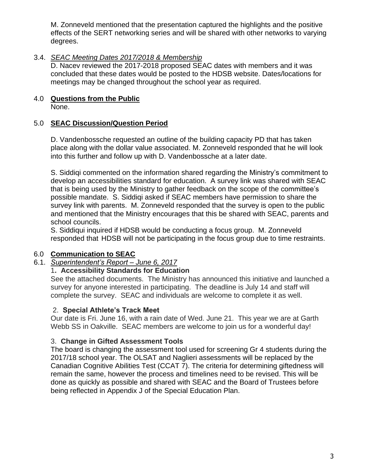M. Zonneveld mentioned that the presentation captured the highlights and the positive effects of the SERT networking series and will be shared with other networks to varying degrees.

#### 3.4. *SEAC Meeting Dates 2017/2018 & Membership*

D. Nacev reviewed the 2017-2018 proposed SEAC dates with members and it was concluded that these dates would be posted to the HDSB website. Dates/locations for meetings may be changed throughout the school year as required.

# 4.0 **Questions from the Public**

None.

# 5.0 **SEAC Discussion/Question Period**

D. Vandenbossche requested an outline of the building capacity PD that has taken place along with the dollar value associated. M. Zonneveld responded that he will look into this further and follow up with D. Vandenbossche at a later date.

S. Siddiqi commented on the information shared regarding the Ministry's commitment to develop an accessibilities standard for education. A survey link was shared with SEAC that is being used by the Ministry to gather feedback on the scope of the committee's possible mandate. S. Siddiqi asked if SEAC members have permission to share the survey link with parents. M. Zonneveld responded that the survey is open to the public and mentioned that the Ministry encourages that this be shared with SEAC, parents and school councils.

S. Siddiqui inquired if HDSB would be conducting a focus group. M. Zonneveld responded that HDSB will not be participating in the focus group due to time restraints.

# 6.0 **Communication to SEAC**

# 6.1. *Superintendent's Report – June 6, 2017*

# 1**. Accessibility Standards for Education**

See the attached documents. The Ministry has announced this initiative and launched a survey for anyone interested in participating. The deadline is July 14 and staff will complete the survey. SEAC and individuals are welcome to complete it as well.

# 2. **Special Athlete's Track Meet**

Our date is Fri. June 16, with a rain date of Wed. June 21. This year we are at Garth Webb SS in Oakville. SEAC members are welcome to join us for a wonderful day!

# 3. **Change in Gifted Assessment Tools**

The board is changing the assessment tool used for screening Gr 4 students during the 2017/18 school year. The OLSAT and Naglieri assessments will be replaced by the Canadian Cognitive Abilities Test (CCAT 7). The criteria for determining giftedness will remain the same, however the process and timelines need to be revised. This will be done as quickly as possible and shared with SEAC and the Board of Trustees before being reflected in Appendix J of the Special Education Plan.